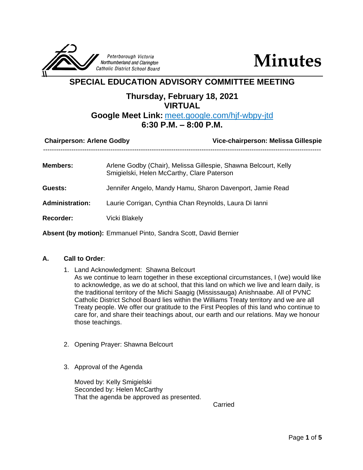

**Minutes**

# **SPECIAL EDUCATION ADVISORY COMMITTEE MEETING**

## **Thursday, February 18, 2021 VIRTUAL**

## **Google Meet Link:** meet.google.com/hjf-wbpy-jtd **6:30 P.M. – 8:00 P.M.**

| <b>Chairperson: Arlene Godby</b> | Vice-chairperson: Melissa Gillespie                                                                           |
|----------------------------------|---------------------------------------------------------------------------------------------------------------|
| <b>Members:</b>                  | Arlene Godby (Chair), Melissa Gillespie, Shawna Belcourt, Kelly<br>Smigielski, Helen McCarthy, Clare Paterson |
| Guests:                          | Jennifer Angelo, Mandy Hamu, Sharon Davenport, Jamie Read                                                     |
| <b>Administration:</b>           | Laurie Corrigan, Cynthia Chan Reynolds, Laura Di Ianni                                                        |
| <b>Recorder:</b>                 | <b>Vicki Blakely</b>                                                                                          |
|                                  | <b>Absent (by motion):</b> Emmanuel Pinto, Sandra Scott, David Bernier                                        |

## **A. Call to Order**:

- 1. Land Acknowledgment: Shawna Belcourt As we continue to learn together in these exceptional circumstances, I (we) would like to acknowledge, as we do at school, that this land on which we live and learn daily, is the traditional territory of the Michi Saagig (Mississauga) Anishnaabe. All of PVNC Catholic District School Board lies within the Williams Treaty territory and we are all Treaty people. We offer our gratitude to the First Peoples of this land who continue to care for, and share their teachings about, our earth and our relations. May we honour those teachings.
- 2. Opening Prayer: Shawna Belcourt
- 3. Approval of the Agenda

Moved by: Kelly Smigielski Seconded by: Helen McCarthy That the agenda be approved as presented.

Carried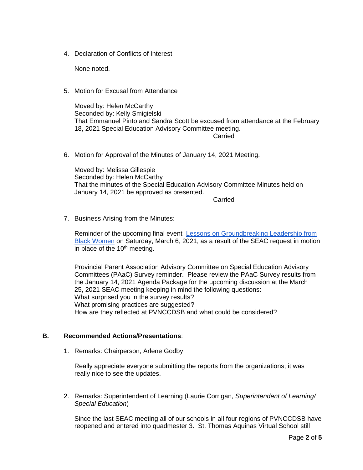4. Declaration of Conflicts of Interest

None noted.

5. Motion for Excusal from Attendance

Moved by: Helen McCarthy Seconded by: Kelly Smigielski That Emmanuel Pinto and Sandra Scott be excused from attendance at the February 18, 2021 Special Education Advisory Committee meeting.

**Carried** 

6. Motion for Approval of the Minutes of January 14, 2021 Meeting.

Moved by: Melissa Gillespie Seconded by: Helen McCarthy That the minutes of the Special Education Advisory Committee Minutes held on January 14, 2021 be approved as presented.

**Carried** 

7. Business Arising from the Minutes:

Reminder of the upcoming final event [Lessons on Groundbreaking Leadership from](https://hrs.humber.ca/human-rights-equity-diversity/humber-college-international-womens-day-forum/iwd2021.html)  [Black Women](https://hrs.humber.ca/human-rights-equity-diversity/humber-college-international-womens-day-forum/iwd2021.html) on Saturday, March 6, 2021, as a result of the SEAC request in motion in place of the  $10<sup>th</sup>$  meeting.

Provincial Parent Association Advisory Committee on Special Education Advisory Committees (PAaC) Survey reminder. Please review the PAaC Survey results from the January 14, 2021 Agenda Package for the upcoming discussion at the March 25, 2021 SEAC meeting keeping in mind the following questions: What surprised you in the survey results? What promising practices are suggested? How are they reflected at PVNCCDSB and what could be considered?

#### **B. Recommended Actions/Presentations**:

1. Remarks: Chairperson, Arlene Godby

Really appreciate everyone submitting the reports from the organizations; it was really nice to see the updates.

2. Remarks: Superintendent of Learning (Laurie Corrigan*, Superintendent of Learning/ Special Education*)

Since the last SEAC meeting all of our schools in all four regions of PVNCCDSB have reopened and entered into quadmester 3. St. Thomas Aquinas Virtual School still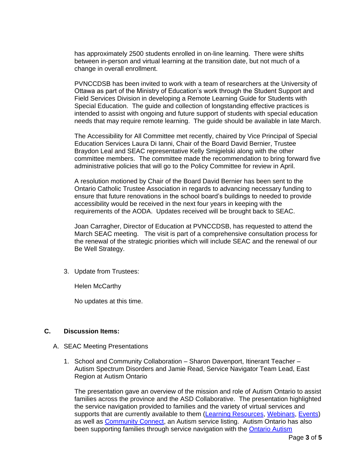has approximately 2500 students enrolled in on-line learning. There were shifts between in-person and virtual learning at the transition date, but not much of a change in overall enrollment.

PVNCCDSB has been invited to work with a team of researchers at the University of Ottawa as part of the Ministry of Education's work through the Student Support and Field Services Division in developing a Remote Learning Guide for Students with Special Education. The guide and collection of longstanding effective practices is intended to assist with ongoing and future support of students with special education needs that may require remote learning. The guide should be available in late March.

The Accessibility for All Committee met recently, chaired by Vice Principal of Special Education Services Laura Di Ianni, Chair of the Board David Bernier, Trustee Braydon Leal and SEAC representative Kelly Smigielski along with the other committee members. The committee made the recommendation to bring forward five administrative policies that will go to the Policy Committee for review in April.

A resolution motioned by Chair of the Board David Bernier has been sent to the Ontario Catholic Trustee Association in regards to advancing necessary funding to ensure that future renovations in the school board's buildings to needed to provide accessibility would be received in the next four years in keeping with the requirements of the AODA. Updates received will be brought back to SEAC.

Joan Carragher, Director of Education at PVNCCDSB, has requested to attend the March SEAC meeting. The visit is part of a comprehensive consultation process for the renewal of the strategic priorities which will include SEAC and the renewal of our Be Well Strategy.

3. Update from Trustees:

Helen McCarthy

No updates at this time.

## **C. Discussion Items:**

- A. SEAC Meeting Presentations
	- 1. School and Community Collaboration Sharon Davenport, Itinerant Teacher Autism Spectrum Disorders and Jamie Read, Service Navigator Team Lead, East Region at Autism Ontario

The presentation gave an overview of the mission and role of Autism Ontario to assist families across the province and the ASD Collaborative. The presentation highlighted the service navigation provided to families and the variety of virtual services and supports that are currently available to them [\(Learning Resources,](https://www.autismontario.com/programs-services/learning-resources) [Webinars,](https://www.autismontario.com/programs-services/webinars) [Events\)](https://www.autismontario.com/events?custom_325=Peterborough) as well as [Community Connect,](https://www.autismontario.com/search?search_api_fulltext=&field_geolocation_2_proximity%5Bcenter_lat%5D=&field_geolocation_2_proximity%5Bcenter_long%5D=&field_geolocation_2_proximity%5Bdistance%5D=5&field_geolocation_2_proximity%5Bstreet_address%5D=&field_geolocation_2_proximity%5Bcity%5D=&field_geolocation_2_proximity%5Bpostal_code%5D=&custom_896=All&custom_891=&custom_892=&f%5B0%5D=type%3AService%20Listing&f%5B1%5D=type%3AService%20Listing) an Autism service listing. Autism Ontario has also been supporting families through service navigation with the [Ontario Autism](https://www.ontario.ca/page/autism-ontario)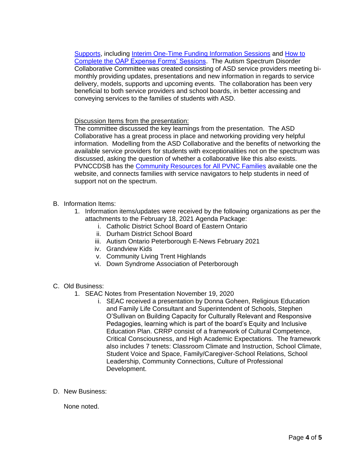[Supports,](https://www.ontario.ca/page/autism-ontario) including [Interim One-Time Funding Information Sessions](https://www.autismontario.com/events?custom_326=All&custom_325=All&event_type_id=25&custom_356=All) and [How to](https://www.autismontario.com/events?custom_326=All&custom_325=All&event_type_id=27&custom_356=All)  Complete the [OAP Expense Forms' Sessions.](https://www.autismontario.com/events?custom_326=All&custom_325=All&event_type_id=27&custom_356=All) The Autism Spectrum Disorder Collaborative Committee was created consisting of ASD service providers meeting bimonthly providing updates, presentations and new information in regards to service delivery, models, supports and upcoming events. The collaboration has been very beneficial to both service providers and school boards, in better accessing and conveying services to the families of students with ASD.

Discussion Items from the presentation:

The committee discussed the key learnings from the presentation. The ASD Collaborative has a great process in place and networking providing very helpful information. Modelling from the ASD Collaborative and the benefits of networking the available service providers for students with exceptionalities not on the spectrum was discussed, asking the question of whether a collaborative like this also exists. PVNCCDSB has the **Community Resources for All PVNC Families** available one the website, and connects families with service navigators to help students in need of support not on the spectrum.

- B. Information Items:
	- 1. Information items/updates were received by the following organizations as per the attachments to the February 18, 2021 Agenda Package:
		- i. Catholic District School Board of Eastern Ontario
		- ii. Durham District School Board
		- iii. Autism Ontario Peterborough E-News February 2021
		- iv. Grandview Kids
		- v. Community Living Trent Highlands
		- vi. Down Syndrome Association of Peterborough
- C. Old Business:
	- 1. SEAC Notes from Presentation November 19, 2020
		- i. SEAC received a presentation by Donna Goheen, Religious Education and Family Life Consultant and Superintendent of Schools, Stephen O'Sullivan on Building Capacity for Culturally Relevant and Responsive Pedagogies, learning which is part of the board's Equity and Inclusive Education Plan. CRRP consist of a framework of Cultural Competence, Critical Consciousness, and High Academic Expectations. The framework also includes 7 tenets: Classroom Climate and Instruction, School Climate, Student Voice and Space, Family/Caregiver-School Relations, School Leadership, Community Connections, Culture of Professional Development.
- D. New Business:

None noted.